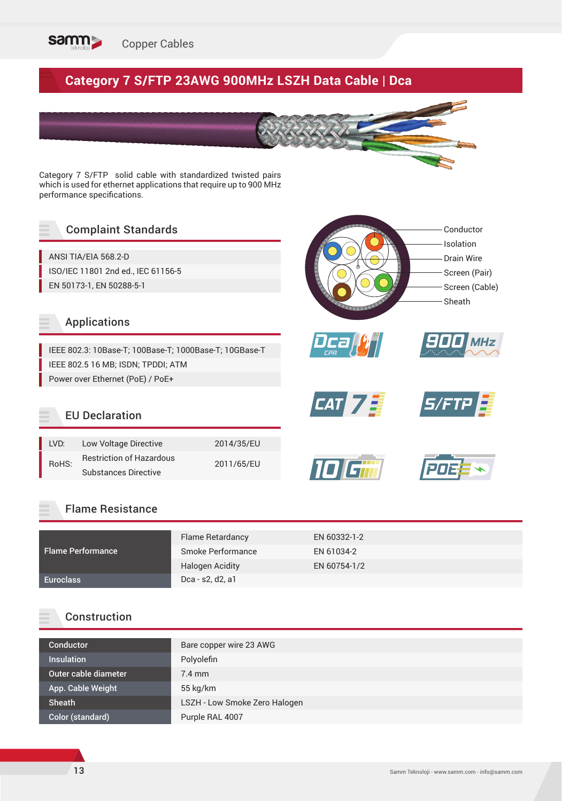

# **Category 7 S/FTP 23AWG 900MHz LSZH Data Cable | Dca**

Category 7 S/FTP solid cable with standardized twisted pairs which is used for ethernet applications that require up to 900 MHz performance specifications.

### Complaint Standards

ANSI TIA/EIA 568.2-D ISO/IEC 11801 2nd ed., IEC 61156-5 EN 50173-1, EN 50288-5-1

#### Applications

IEEE 802.3: 10Base-T; 100Base-T; 1000Base-T; 10GBase-T IEEE 802.5 16 MB; ISDN; TPDDI; ATM Power over Ethernet (PoE) / PoE+

### EU Declaration

| LVD:  | Low Voltage Directive           | 2014/35/EU |  |
|-------|---------------------------------|------------|--|
| RoHS: | <b>Restriction of Hazardous</b> | 2011/65/EU |  |
|       | <b>Substances Directive</b>     |            |  |















#### Flame Resistance

|                          | Flame Retardancy       | EN 60332-1-2 |
|--------------------------|------------------------|--------------|
| <b>Flame Performance</b> | Smoke Performance      | EN 61034-2   |
|                          | <b>Halogen Acidity</b> | EN 60754-1/2 |
| <b>Euroclass</b>         | Dca - s2, d2, a1       |              |

#### Construction

| Conductor            | Bare copper wire 23 AWG       |
|----------------------|-------------------------------|
| <b>Insulation</b>    | Polyolefin                    |
| Outer cable diameter | $7.4$ mm                      |
| App. Cable Weight    | $55$ kg/km                    |
| Sheath               | LSZH - Low Smoke Zero Halogen |
| Color (standard)     | Purple RAL 4007               |